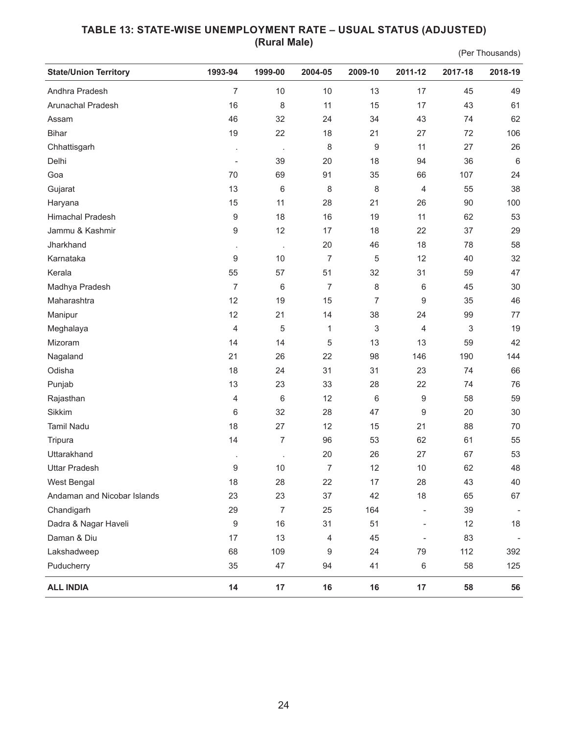## **TABLE 13: STATE-WISE UNEMPLOYMENT RATE – USUAL STATUS (ADJUSTED) (Rural Male)**

(Per Thousands)

| <b>State/Union Territory</b> | 1993-94                  | 1999-00        | 2004-05        | 2009-10                   | 2011-12                  | 2017-18 | 2018-19                  |
|------------------------------|--------------------------|----------------|----------------|---------------------------|--------------------------|---------|--------------------------|
| Andhra Pradesh               | 7                        | 10             | 10             | 13                        | 17                       | 45      | 49                       |
| Arunachal Pradesh            | 16                       | 8              | 11             | 15                        | 17                       | 43      | 61                       |
| Assam                        | 46                       | 32             | 24             | 34                        | 43                       | 74      | 62                       |
| <b>Bihar</b>                 | 19                       | 22             | 18             | 21                        | 27                       | 72      | 106                      |
| Chhattisgarh                 |                          | $\cdot$        | 8              | 9                         | 11                       | 27      | 26                       |
| Delhi                        | $\overline{\phantom{a}}$ | 39             | 20             | 18                        | 94                       | 36      | $6\,$                    |
| Goa                          | 70                       | 69             | 91             | 35                        | 66                       | 107     | 24                       |
| Gujarat                      | 13                       | 6              | 8              | 8                         | 4                        | 55      | 38                       |
| Haryana                      | 15                       | 11             | 28             | 21                        | 26                       | 90      | 100                      |
| Himachal Pradesh             | $\boldsymbol{9}$         | 18             | 16             | 19                        | 11                       | 62      | 53                       |
| Jammu & Kashmir              | 9                        | 12             | 17             | 18                        | 22                       | 37      | 29                       |
| Jharkhand                    |                          | $\cdot$        | 20             | 46                        | 18                       | 78      | 58                       |
| Karnataka                    | 9                        | 10             | $\overline{7}$ | 5                         | 12                       | 40      | 32                       |
| Kerala                       | 55                       | 57             | 51             | 32                        | 31                       | 59      | 47                       |
| Madhya Pradesh               | 7                        | 6              | 7              | 8                         | 6                        | 45      | 30                       |
| Maharashtra                  | 12                       | 19             | 15             | $\overline{7}$            | 9                        | 35      | 46                       |
| Manipur                      | 12                       | 21             | 14             | 38                        | 24                       | 99      | 77                       |
| Meghalaya                    | $\overline{4}$           | 5              | 1              | $\ensuremath{\mathsf{3}}$ | 4                        | 3       | 19                       |
| Mizoram                      | 14                       | 14             | 5              | 13                        | 13                       | 59      | 42                       |
| Nagaland                     | 21                       | 26             | 22             | 98                        | 146                      | 190     | 144                      |
| Odisha                       | 18                       | 24             | 31             | 31                        | 23                       | 74      | 66                       |
| Punjab                       | 13                       | 23             | 33             | 28                        | 22                       | 74      | 76                       |
| Rajasthan                    | $\overline{4}$           | 6              | 12             | 6                         | $\boldsymbol{9}$         | 58      | 59                       |
| Sikkim                       | 6                        | 32             | 28             | 47                        | $\boldsymbol{9}$         | 20      | 30                       |
| <b>Tamil Nadu</b>            | 18                       | 27             | 12             | 15                        | 21                       | 88      | 70                       |
| Tripura                      | 14                       | 7              | 96             | 53                        | 62                       | 61      | 55                       |
| Uttarakhand                  | ł,                       | $\cdot$        | 20             | 26                        | 27                       | 67      | 53                       |
| <b>Uttar Pradesh</b>         | 9                        | 10             | $\overline{7}$ | 12                        | 10                       | 62      | 48                       |
| West Bengal                  | 18                       | 28             | 22             | 17                        | 28                       | 43      | 40                       |
| Andaman and Nicobar Islands  | 23                       | 23             | 37             | 42                        | 18                       | 65      | 67                       |
| Chandigarh                   | 29                       | $\overline{7}$ | 25             | 164                       | $\overline{\phantom{a}}$ | 39      |                          |
| Dadra & Nagar Haveli         | 9                        | 16             | 31             | 51                        | $\overline{\phantom{a}}$ | 12      | 18                       |
| Daman & Diu                  | 17                       | 13             | 4              | 45                        | $\overline{\phantom{a}}$ | 83      | $\overline{\phantom{a}}$ |
| Lakshadweep                  | 68                       | 109            | 9              | 24                        | 79                       | 112     | 392                      |
| Puducherry                   | 35                       | 47             | 94             | 41                        | 6                        | 58      | 125                      |
| <b>ALL INDIA</b>             | 14                       | 17             | 16             | 16                        | 17                       | 58      | 56                       |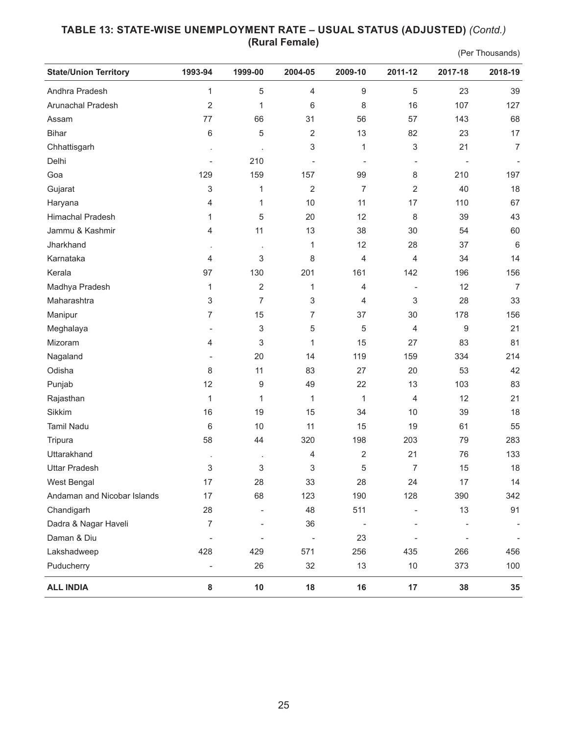## **TABLE 13: STATE-WISE UNEMPLOYMENT RATE – USUAL STATUS (ADJUSTED)** *(Contd.)*  **(Rural Female)**

(Per Thousands)

| <b>State/Union Territory</b> | 1993-94                  | 1999-00          | 2004-05                   | 2009-10          | 2011-12                  | 2017-18 | 2018-19        |
|------------------------------|--------------------------|------------------|---------------------------|------------------|--------------------------|---------|----------------|
| Andhra Pradesh               | $\mathbf{1}$             | 5                | $\overline{4}$            | $\boldsymbol{9}$ | 5                        | 23      | 39             |
| Arunachal Pradesh            | 2                        | 1                | 6                         | 8                | 16                       | 107     | 127            |
| Assam                        | 77                       | 66               | 31                        | 56               | 57                       | 143     | 68             |
| <b>Bihar</b>                 | 6                        | 5                | $\overline{2}$            | 13               | 82                       | 23      | 17             |
| Chhattisgarh                 |                          |                  | 3                         | 1                | $\sqrt{3}$               | 21      | $\overline{7}$ |
| Delhi                        | $\overline{\phantom{a}}$ | 210              | $\overline{\phantom{a}}$  |                  | $\overline{\phantom{a}}$ |         |                |
| Goa                          | 129                      | 159              | 157                       | 99               | 8                        | 210     | 197            |
| Gujarat                      | 3                        | 1                | $\overline{2}$            | $\overline{7}$   | $\overline{2}$           | 40      | 18             |
| Haryana                      | 4                        | 1                | 10                        | 11               | 17                       | 110     | 67             |
| Himachal Pradesh             | 1                        | $\overline{5}$   | 20                        | 12               | 8                        | 39      | 43             |
| Jammu & Kashmir              | 4                        | 11               | 13                        | 38               | 30                       | 54      | 60             |
| Jharkhand                    | $\blacksquare$           | $\cdot$          | 1                         | 12               | 28                       | 37      | $6\,$          |
| Karnataka                    | 4                        | 3                | 8                         | $\overline{4}$   | $\overline{4}$           | 34      | 14             |
| Kerala                       | 97                       | 130              | 201                       | 161              | 142                      | 196     | 156            |
| Madhya Pradesh               | 1                        | $\overline{2}$   | 1                         | 4                | $\overline{\phantom{a}}$ | 12      | $\overline{7}$ |
| Maharashtra                  | 3                        | $\overline{7}$   | $\ensuremath{\mathsf{3}}$ | 4                | $\sqrt{3}$               | 28      | 33             |
| Manipur                      | 7                        | 15               | $\overline{7}$            | 37               | 30                       | 178     | 156            |
| Meghalaya                    | $\overline{\phantom{a}}$ | 3                | $\mathbf 5$               | 5                | $\overline{4}$           | 9       | 21             |
| Mizoram                      | 4                        | 3                | 1                         | 15               | 27                       | 83      | 81             |
| Nagaland                     |                          | 20               | 14                        | 119              | 159                      | 334     | 214            |
| Odisha                       | 8                        | 11               | 83                        | 27               | 20                       | 53      | 42             |
| Punjab                       | 12                       | $\boldsymbol{9}$ | 49                        | 22               | 13                       | 103     | 83             |
| Rajasthan                    | $\mathbf{1}$             | 1                | $\mathbf{1}$              | $\mathbf 1$      | 4                        | 12      | 21             |
| Sikkim                       | 16                       | 19               | 15                        | 34               | 10                       | 39      | 18             |
| <b>Tamil Nadu</b>            | 6                        | 10               | 11                        | 15               | 19                       | 61      | 55             |
| Tripura                      | 58                       | 44               | 320                       | 198              | 203                      | 79      | 283            |
| Uttarakhand                  | $\cdot$                  | $\cdot$          | $\overline{4}$            | $\sqrt{2}$       | 21                       | 76      | 133            |
| <b>Uttar Pradesh</b>         | $\sqrt{3}$               | 3                | 3                         | 5                | $\overline{7}$           | 15      | 18             |
| West Bengal                  | 17                       | 28               | 33                        | 28               | 24                       | 17      | 14             |
| Andaman and Nicobar Islands  | 17                       | 68               | 123                       | 190              | 128                      | 390     | 342            |
| Chandigarh                   | 28                       |                  | 48                        | 511              |                          | 13      | 91             |
| Dadra & Nagar Haveli         | $\overline{7}$           |                  | 36                        |                  |                          |         |                |
| Daman & Diu                  |                          |                  |                           | 23               |                          |         |                |
| Lakshadweep                  | 428                      | 429              | 571                       | 256              | 435                      | 266     | 456            |
| Puducherry                   | $\overline{\phantom{0}}$ | 26               | 32                        | 13               | $10$                     | 373     | 100            |
| <b>ALL INDIA</b>             | 8                        | 10               | $18$                      | 16               | 17                       | 38      | 35             |